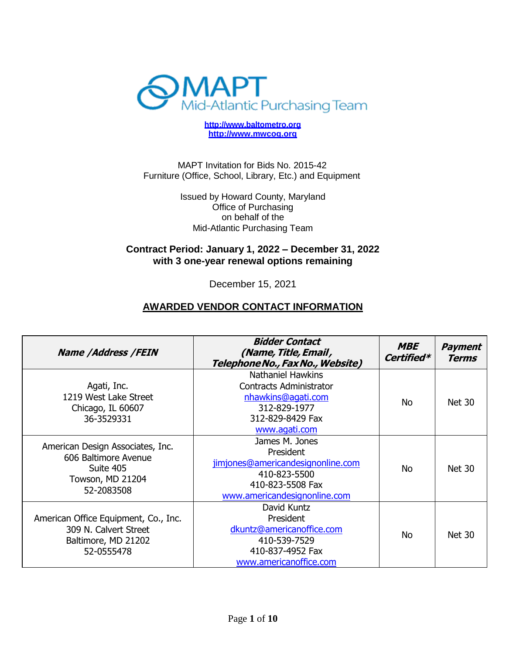

**[http://www.baltometro.org](http://www.baltometro.org/) [http://www.mwcog.org](http://www.mwcog.org/)**

MAPT Invitation for Bids No. 2015-42 Furniture (Office, School, Library, Etc.) and Equipment

> Issued by Howard County, Maryland Office of Purchasing on behalf of the Mid-Atlantic Purchasing Team

## **Contract Period: January 1, 2022 – December 31, 2022 with 3 one-year renewal options remaining**

December 15, 2021

## **AWARDED VENDOR CONTACT INFORMATION**

| <b>Name /Address /FEIN</b>                                                                              | <b>Bidder Contact</b><br>(Name, Title, Email,<br>Telephone No., Fax No., Website)                                                     | <b>MBE</b><br>Certified* | <b>Payment</b><br><b>Terms</b> |
|---------------------------------------------------------------------------------------------------------|---------------------------------------------------------------------------------------------------------------------------------------|--------------------------|--------------------------------|
| Agati, Inc.<br>1219 West Lake Street<br>Chicago, IL 60607<br>36-3529331                                 | <b>Nathaniel Hawkins</b><br><b>Contracts Administrator</b><br>nhawkins@agati.com<br>312-829-1977<br>312-829-8429 Fax<br>www.agati.com | No.                      | <b>Net 30</b>                  |
| American Design Associates, Inc.<br>606 Baltimore Avenue<br>Suite 405<br>Towson, MD 21204<br>52-2083508 | James M. Jones<br>President<br>jimjones@americandesignonline.com<br>410-823-5500<br>410-823-5508 Fax<br>www.americandesignonline.com  | No.                      | <b>Net 30</b>                  |
| American Office Equipment, Co., Inc.<br>309 N. Calvert Street<br>Baltimore, MD 21202<br>52-0555478      | David Kuntz<br>President<br>dkuntz@americanoffice.com<br>410-539-7529<br>410-837-4952 Fax<br>www.americanoffice.com                   | <b>No</b>                | <b>Net 30</b>                  |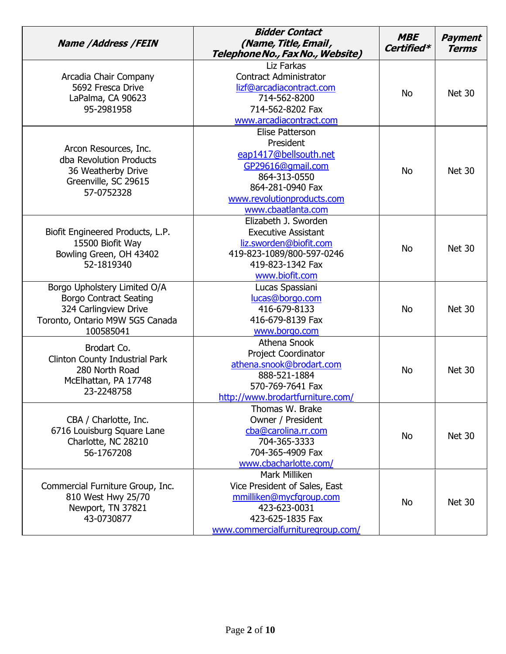| <b>Name /Address /FEIN</b>                                                                                                             | <b>Bidder Contact</b><br>(Name, Title, Email,<br>Telephone No., Fax No., Website)                                                                                  | <b>MBE</b><br>Certified* | <b>Payment</b><br><b>Terms</b> |
|----------------------------------------------------------------------------------------------------------------------------------------|--------------------------------------------------------------------------------------------------------------------------------------------------------------------|--------------------------|--------------------------------|
| Arcadia Chair Company<br>5692 Fresca Drive<br>LaPalma, CA 90623<br>95-2981958                                                          | Liz Farkas<br><b>Contract Administrator</b><br>lizf@arcadiacontract.com<br>714-562-8200<br>714-562-8202 Fax<br>www.arcadiacontract.com                             | <b>No</b>                | <b>Net 30</b>                  |
| Arcon Resources, Inc.<br>dba Revolution Products<br>36 Weatherby Drive<br>Greenville, SC 29615<br>57-0752328                           | Elise Patterson<br>President<br>eap1417@bellsouth.net<br>GP29616@gmail.com<br>864-313-0550<br>864-281-0940 Fax<br>www.revolutionproducts.com<br>www.cbaatlanta.com | <b>No</b>                | <b>Net 30</b>                  |
| Biofit Engineered Products, L.P.<br>15500 Biofit Way<br>Bowling Green, OH 43402<br>52-1819340                                          | Elizabeth J. Sworden<br><b>Executive Assistant</b><br>liz.sworden@biofit.com<br>419-823-1089/800-597-0246<br>419-823-1342 Fax<br>www.biofit.com                    | <b>No</b>                | <b>Net 30</b>                  |
| Borgo Upholstery Limited O/A<br><b>Borgo Contract Seating</b><br>324 Carlingview Drive<br>Toronto, Ontario M9W 5G5 Canada<br>100585041 | Lucas Spassiani<br>lucas@borgo.com<br>416-679-8133<br>416-679-8139 Fax<br>www.borgo.com                                                                            | <b>No</b>                | Net 30                         |
| Brodart Co.<br>Clinton County Industrial Park<br>280 North Road<br>McElhattan, PA 17748<br>23-2248758                                  | Athena Snook<br><b>Project Coordinator</b><br>athena.snook@brodart.com<br>888-521-1884<br>570-769-7641 Fax<br>http://www.brodartfurniture.com/                     | <b>No</b>                | Net 30                         |
| CBA / Charlotte, Inc.<br>6716 Louisburg Square Lane<br>Charlotte, NC 28210<br>56-1767208                                               | Thomas W. Brake<br>Owner / President<br>cba@carolina.rr.com<br>704-365-3333<br>704-365-4909 Fax<br>www.cbacharlotte.com/                                           | <b>No</b>                | <b>Net 30</b>                  |
| Commercial Furniture Group, Inc.<br>810 West Hwy 25/70<br>Newport, TN 37821<br>43-0730877                                              | Mark Milliken<br>Vice President of Sales, East<br>mmilliken@mycfgroup.com<br>423-623-0031<br>423-625-1835 Fax<br>www.commercialfurnituregroup.com/                 | <b>No</b>                | <b>Net 30</b>                  |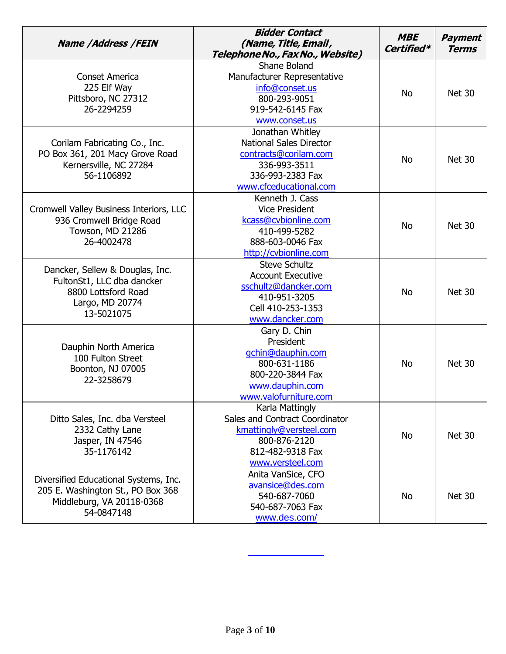| <b>Name /Address /FEIN</b>                                                                                            | <b>Bidder Contact</b><br>(Name, Title, Email,<br>Telephone No., Fax No., Website)                                                         | <b>MBE</b><br>Certified* | <b>Payment</b><br><b>Terms</b> |
|-----------------------------------------------------------------------------------------------------------------------|-------------------------------------------------------------------------------------------------------------------------------------------|--------------------------|--------------------------------|
| Conset America<br>225 Elf Way<br>Pittsboro, NC 27312<br>26-2294259                                                    | Shane Boland<br>Manufacturer Representative<br>info@conset.us<br>800-293-9051<br>919-542-6145 Fax<br>www.conset.us                        | <b>No</b>                | <b>Net 30</b>                  |
| Corilam Fabricating Co., Inc.<br>PO Box 361, 201 Macy Grove Road<br>Kernersville, NC 27284<br>56-1106892              | Jonathan Whitley<br><b>National Sales Director</b><br>contracts@corilam.com<br>336-993-3511<br>336-993-2383 Fax<br>www.cfceducational.com | <b>No</b>                | <b>Net 30</b>                  |
| Cromwell Valley Business Interiors, LLC<br>936 Cromwell Bridge Road<br>Towson, MD 21286<br>26-4002478                 | Kenneth J. Cass<br><b>Vice President</b><br>kcass@cvbionline.com<br>410-499-5282<br>888-603-0046 Fax<br>http://cvbionline.com             | <b>No</b>                | <b>Net 30</b>                  |
| Dancker, Sellew & Douglas, Inc.<br>FultonSt1, LLC dba dancker<br>8800 Lottsford Road<br>Largo, MD 20774<br>13-5021075 | <b>Steve Schultz</b><br><b>Account Executive</b><br>sschultz@dancker.com<br>410-951-3205<br>Cell 410-253-1353<br>www.dancker.com          | <b>No</b>                | <b>Net 30</b>                  |
| Dauphin North America<br>100 Fulton Street<br>Boonton, NJ 07005<br>22-3258679                                         | Gary D. Chin<br>President<br>gchin@dauphin.com<br>800-631-1186<br>800-220-3844 Fax<br>www.dauphin.com<br>www.valofurniture.com            | <b>No</b>                | <b>Net 30</b>                  |
| Ditto Sales, Inc. dba Versteel<br>2332 Cathy Lane<br>Jasper, IN 47546<br>35-1176142                                   | Karla Mattingly<br>Sales and Contract Coordinator<br>kmattingly@versteel.com<br>800-876-2120<br>812-482-9318 Fax<br>www.versteel.com      | <b>No</b>                | <b>Net 30</b>                  |
| Diversified Educational Systems, Inc.<br>205 E. Washington St., PO Box 368<br>Middleburg, VA 20118-0368<br>54-0847148 | Anita VanSice, CFO<br>avansice@des.com<br>540-687-7060<br>540-687-7063 Fax<br>www.des.com/                                                | <b>No</b>                | <b>Net 30</b>                  |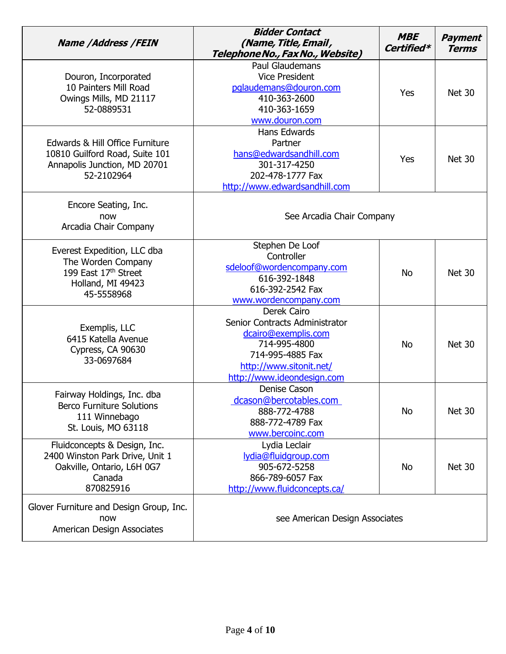| <b>Name /Address /FEIN</b>                                                                                           | <b>Bidder Contact</b><br>(Name, Title, Email,<br>Telephone No., Fax No., Website)                                                                                 | <b>MBE</b><br>Certified* | <b>Payment</b><br><b>Terms</b> |
|----------------------------------------------------------------------------------------------------------------------|-------------------------------------------------------------------------------------------------------------------------------------------------------------------|--------------------------|--------------------------------|
| Douron, Incorporated<br>10 Painters Mill Road<br>Owings Mills, MD 21117<br>52-0889531                                | Paul Glaudemans<br><b>Vice President</b><br>pglaudemans@douron.com<br>410-363-2600<br>410-363-1659<br>www.douron.com                                              | Yes                      | <b>Net 30</b>                  |
| Edwards & Hill Office Furniture<br>10810 Guilford Road, Suite 101<br>Annapolis Junction, MD 20701<br>52-2102964      | Hans Edwards<br>Partner<br>hans@edwardsandhill.com<br>301-317-4250<br>202-478-1777 Fax<br>http://www.edwardsandhill.com                                           | Yes                      | <b>Net 30</b>                  |
| Encore Seating, Inc.<br>now<br>Arcadia Chair Company                                                                 | See Arcadia Chair Company                                                                                                                                         |                          |                                |
| Everest Expedition, LLC dba<br>The Worden Company<br>199 East 17th Street<br>Holland, MI 49423<br>45-5558968         | Stephen De Loof<br>Controller<br>sdeloof@wordencompany.com<br>616-392-1848<br>616-392-2542 Fax<br>www.wordencompany.com                                           | <b>No</b>                | <b>Net 30</b>                  |
| Exemplis, LLC<br>6415 Katella Avenue<br>Cypress, CA 90630<br>33-0697684                                              | Derek Cairo<br>Senior Contracts Administrator<br>dcairo@exemplis.com<br>714-995-4800<br>714-995-4885 Fax<br>http://www.sitonit.net/<br>http://www.ideondesign.com | <b>No</b>                | <b>Net 30</b>                  |
| Fairway Holdings, Inc. dba<br><b>Berco Furniture Solutions</b><br>111 Winnebago<br>St. Louis, MO 63118               | Denise Cason<br>dcason@bercotables.com<br>888-772-4788<br>888-772-4789 Fax<br>www.bercoinc.com                                                                    | No                       | <b>Net 30</b>                  |
| Fluidconcepts & Design, Inc.<br>2400 Winston Park Drive, Unit 1<br>Oakville, Ontario, L6H 0G7<br>Canada<br>870825916 | Lydia Leclair<br>lydia@fluidgroup.com<br>905-672-5258<br>866-789-6057 Fax<br>http://www.fluidconcepts.ca/                                                         | <b>No</b>                | <b>Net 30</b>                  |
| Glover Furniture and Design Group, Inc.<br>now<br>American Design Associates                                         | see American Design Associates                                                                                                                                    |                          |                                |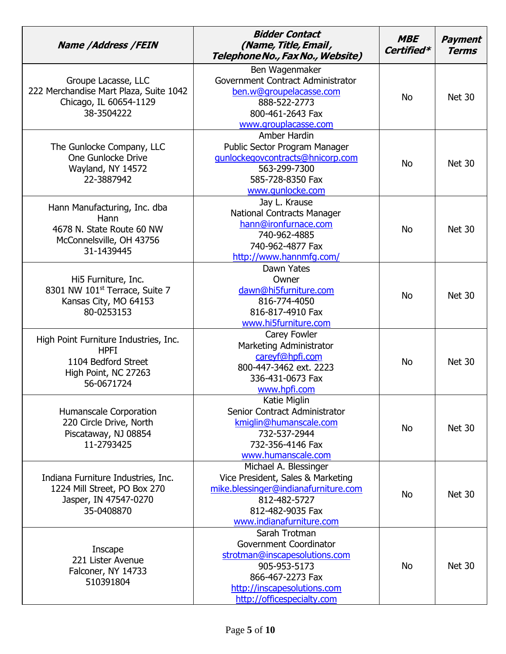| <b>Name /Address /FEIN</b>                                                                                        | <b>Bidder Contact</b><br>(Name, Title, Email,<br>Telephone No., Fax No., Website)                                                                                         | <b>MBE</b><br>Certified* | <b>Payment</b><br><b>Terms</b> |
|-------------------------------------------------------------------------------------------------------------------|---------------------------------------------------------------------------------------------------------------------------------------------------------------------------|--------------------------|--------------------------------|
| Groupe Lacasse, LLC<br>222 Merchandise Mart Plaza, Suite 1042<br>Chicago, IL 60654-1129<br>38-3504222             | Ben Wagenmaker<br>Government Contract Administrator<br>ben.w@groupelacasse.com<br>888-522-2773<br>800-461-2643 Fax<br>www.grouplacasse.com                                | <b>No</b>                | <b>Net 30</b>                  |
| The Gunlocke Company, LLC<br>One Gunlocke Drive<br>Wayland, NY 14572<br>22-3887942                                | Amber Hardin<br>Public Sector Program Manager<br>gunlockegovcontracts@hnicorp.com<br>563-299-7300<br>585-728-8350 Fax<br>www.qunlocke.com                                 | <b>No</b>                | <b>Net 30</b>                  |
| Hann Manufacturing, Inc. dba<br>Hann<br>4678 N. State Route 60 NW<br>McConnelsville, OH 43756<br>31-1439445       | Jay L. Krause<br><b>National Contracts Manager</b><br>hann@ironfurnace.com<br>740-962-4885<br>740-962-4877 Fax<br>http://www.hannmfg.com/                                 | <b>No</b>                | <b>Net 30</b>                  |
| Hi5 Furniture, Inc.<br>8301 NW 101 <sup>st</sup> Terrace, Suite 7<br>Kansas City, MO 64153<br>80-0253153          | Dawn Yates<br>Owner<br>dawn@hi5furniture.com<br>816-774-4050<br>816-817-4910 Fax<br>www.hi5furniture.com                                                                  | <b>No</b>                | <b>Net 30</b>                  |
| High Point Furniture Industries, Inc.<br><b>HPFI</b><br>1104 Bedford Street<br>High Point, NC 27263<br>56-0671724 | Carey Fowler<br>Marketing Administrator<br>careyf@hpfi.com<br>800-447-3462 ext. 2223<br>336-431-0673 Fax<br>www.hpfi.com                                                  | <b>No</b>                | <b>Net 30</b>                  |
| Humanscale Corporation<br>220 Circle Drive, North<br>Piscataway, NJ 08854<br>11-2793425                           | Katie Miglin<br>Senior Contract Administrator<br>kmiglin@humanscale.com<br>732-537-2944<br>732-356-4146 Fax<br>www.humanscale.com                                         | <b>No</b>                | <b>Net 30</b>                  |
| Indiana Furniture Industries, Inc.<br>1224 Mill Street, PO Box 270<br>Jasper, IN 47547-0270<br>35-0408870         | Michael A. Blessinger<br>Vice President, Sales & Marketing<br>mike.blessinger@indianafurniture.com<br>812-482-5727<br>812-482-9035 Fax<br>www.indianafurniture.com        | <b>No</b>                | <b>Net 30</b>                  |
| Inscape<br>221 Lister Avenue<br>Falconer, NY 14733<br>510391804                                                   | Sarah Trotman<br>Government Coordinator<br>strotman@inscapesolutions.com<br>905-953-5173<br>866-467-2273 Fax<br>http://inscapesolutions.com<br>http://officespecialty.com | <b>No</b>                | <b>Net 30</b>                  |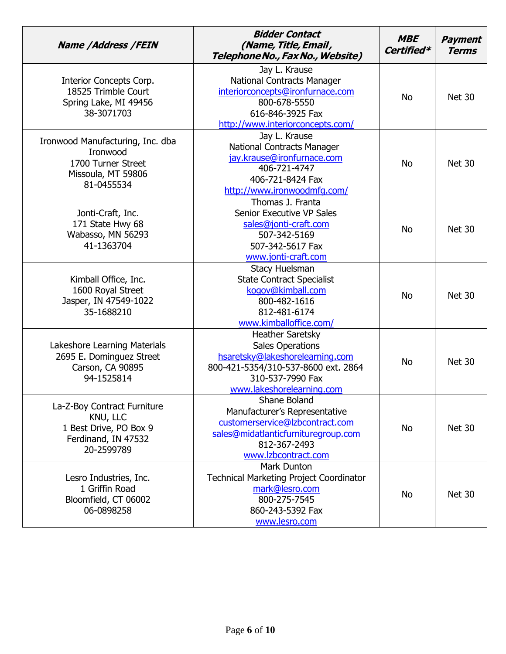| <b>Name /Address /FEIN</b>                                                                             | <b>Bidder Contact</b><br>(Name, Title, Email,<br>Telephone No., Fax No., Website)                                                                                             | <b>MBE</b><br>Certified* | <b>Payment</b><br><b>Terms</b> |
|--------------------------------------------------------------------------------------------------------|-------------------------------------------------------------------------------------------------------------------------------------------------------------------------------|--------------------------|--------------------------------|
| Interior Concepts Corp.<br>18525 Trimble Court<br>Spring Lake, MI 49456<br>38-3071703                  | Jay L. Krause<br>National Contracts Manager<br>interiorconcepts@ironfurnace.com<br>800-678-5550<br>616-846-3925 Fax<br>http://www.interiorconcepts.com/                       | <b>No</b>                | <b>Net 30</b>                  |
| Ironwood Manufacturing, Inc. dba<br>Ironwood<br>1700 Turner Street<br>Missoula, MT 59806<br>81-0455534 | Jay L. Krause<br><b>National Contracts Manager</b><br>jay.krause@ironfurnace.com<br>406-721-4747<br>406-721-8424 Fax<br>http://www.ironwoodmfg.com/                           | <b>No</b>                | <b>Net 30</b>                  |
| Jonti-Craft, Inc.<br>171 State Hwy 68<br>Wabasso, MN 56293<br>41-1363704                               | Thomas J. Franta<br>Senior Executive VP Sales<br>sales@jonti-craft.com<br>507-342-5169<br>507-342-5617 Fax<br>www.jonti-craft.com                                             | <b>No</b>                | <b>Net 30</b>                  |
| Kimball Office, Inc.<br>1600 Royal Street<br>Jasper, IN 47549-1022<br>35-1688210                       | <b>Stacy Huelsman</b><br><b>State Contract Specialist</b><br>kogov@kimball.com<br>800-482-1616<br>812-481-6174<br>www.kimballoffice.com/                                      | <b>No</b>                | <b>Net 30</b>                  |
| Lakeshore Learning Materials<br>2695 E. Dominguez Street<br>Carson, CA 90895<br>94-1525814             | <b>Heather Saretsky</b><br><b>Sales Operations</b><br>hsaretsky@lakeshorelearning.com<br>800-421-5354/310-537-8600 ext. 2864<br>310-537-7990 Fax<br>www.lakeshorelearning.com | <b>No</b>                | <b>Net 30</b>                  |
| La-Z-Boy Contract Furniture<br>KNU, LLC<br>1 Best Drive, PO Box 9<br>Ferdinand, IN 47532<br>20-2599789 | <b>Shane Boland</b><br>Manufacturer's Representative<br>customerservice@lzbcontract.com<br>sales@midatlanticfurnituregroup.com<br>812-367-2493<br>www.lzbcontract.com         | <b>No</b>                | <b>Net 30</b>                  |
| Lesro Industries, Inc.<br>1 Griffin Road<br>Bloomfield, CT 06002<br>06-0898258                         | Mark Dunton<br><b>Technical Marketing Project Coordinator</b><br>mark@lesro.com<br>800-275-7545<br>860-243-5392 Fax<br>www.lesro.com                                          | <b>No</b>                | <b>Net 30</b>                  |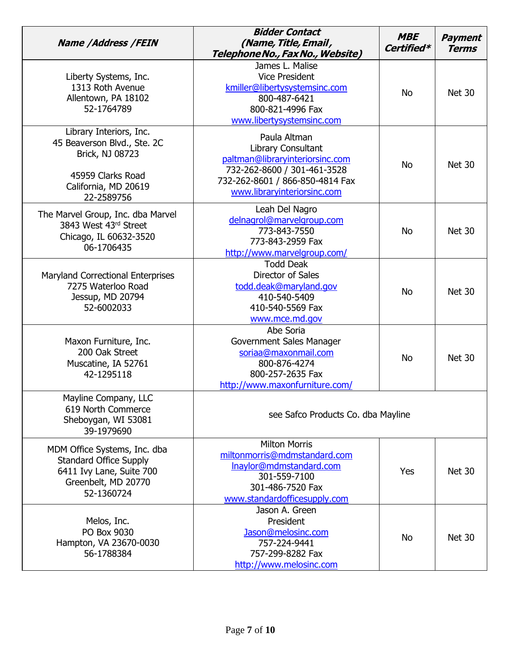| <b>Name /Address /FEIN</b>                                                                                                           | <b>Bidder Contact</b><br>(Name, Title, Email,<br>Telephone No., Fax No., Website)                                                                                      | <b>MBE</b><br>Certified* | <b>Payment</b><br><b>Terms</b> |
|--------------------------------------------------------------------------------------------------------------------------------------|------------------------------------------------------------------------------------------------------------------------------------------------------------------------|--------------------------|--------------------------------|
| Liberty Systems, Inc.<br>1313 Roth Avenue<br>Allentown, PA 18102<br>52-1764789                                                       | James L. Malise<br><b>Vice President</b><br>kmiller@libertysystemsinc.com<br>800-487-6421<br>800-821-4996 Fax<br>www.libertysystemsinc.com                             | <b>No</b>                | <b>Net 30</b>                  |
| Library Interiors, Inc.<br>45 Beaverson Blvd., Ste. 2C<br>Brick, NJ 08723<br>45959 Clarks Road<br>California, MD 20619<br>22-2589756 | Paula Altman<br>Library Consultant<br>paltman@libraryinteriorsinc.com<br>732-262-8600 / 301-461-3528<br>732-262-8601 / 866-850-4814 Fax<br>www.libraryinteriorsinc.com | <b>No</b>                | <b>Net 30</b>                  |
| The Marvel Group, Inc. dba Marvel<br>3843 West 43rd Street<br>Chicago, IL 60632-3520<br>06-1706435                                   | Leah Del Nagro<br>delnagrol@marvelgroup.com<br>773-843-7550<br>773-843-2959 Fax<br>http://www.marvelgroup.com/                                                         | <b>No</b>                | <b>Net 30</b>                  |
| <b>Maryland Correctional Enterprises</b><br>7275 Waterloo Road<br>Jessup, MD 20794<br>52-6002033                                     | <b>Todd Deak</b><br>Director of Sales<br>todd.deak@maryland.gov<br>410-540-5409<br>410-540-5569 Fax<br>www.mce.md.gov                                                  | <b>No</b>                | <b>Net 30</b>                  |
| Maxon Furniture, Inc.<br>200 Oak Street<br>Muscatine, IA 52761<br>42-1295118                                                         | Abe Soria<br>Government Sales Manager<br>soriaa@maxonmail.com<br>800-876-4274<br>800-257-2635 Fax<br>http://www.maxonfurniture.com/                                    | <b>No</b>                | <b>Net 30</b>                  |
| Mayline Company, LLC<br>619 North Commerce<br>Sheboygan, WI 53081<br>39-1979690                                                      | see Safco Products Co. dba Mayline                                                                                                                                     |                          |                                |
| MDM Office Systems, Inc. dba<br><b>Standard Office Supply</b><br>6411 Ivy Lane, Suite 700<br>Greenbelt, MD 20770<br>52-1360724       | <b>Milton Morris</b><br>miltonmorris@mdmstandard.com<br>Inaylor@mdmstandard.com<br>301-559-7100<br>301-486-7520 Fax<br>www.standardofficesupply.com                    | Yes                      | <b>Net 30</b>                  |
| Melos, Inc.<br>PO Box 9030<br>Hampton, VA 23670-0030<br>56-1788384                                                                   | Jason A. Green<br>President<br>Jason@melosinc.com<br>757-224-9441<br>757-299-8282 Fax<br>http://www.melosinc.com                                                       | <b>No</b>                | <b>Net 30</b>                  |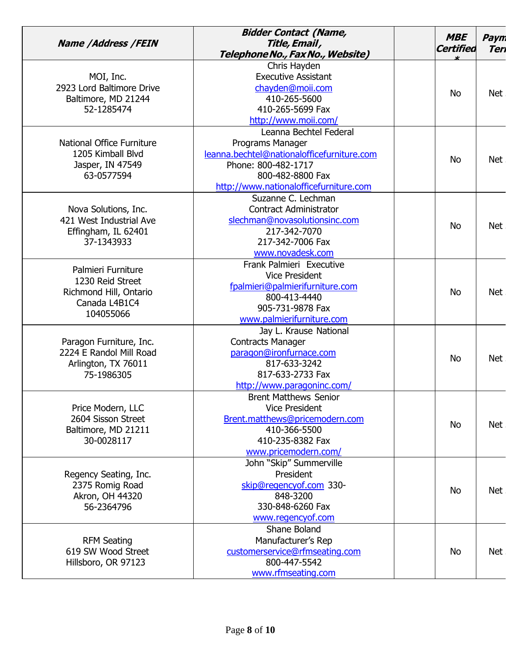|                                  | <b>Bidder Contact (Name,</b>               | <b>MBE</b>       | Paym       |
|----------------------------------|--------------------------------------------|------------------|------------|
| <b>Name /Address /FEIN</b>       | Title, Email,                              | <b>Certified</b> | Teri       |
|                                  | Telephone No., Fax No., Website)           |                  |            |
|                                  | Chris Hayden                               |                  |            |
| MOI, Inc.                        | <b>Executive Assistant</b>                 |                  |            |
| 2923 Lord Baltimore Drive        | chayden@moii.com                           | <b>No</b>        |            |
| Baltimore, MD 21244              | 410-265-5600                               |                  | Net        |
| 52-1285474                       | 410-265-5699 Fax                           |                  |            |
|                                  | http://www.moii.com/                       |                  |            |
|                                  | Leanna Bechtel Federal                     |                  |            |
| <b>National Office Furniture</b> | Programs Manager                           |                  |            |
| 1205 Kimball Blvd                | leanna.bechtel@nationalofficefurniture.com |                  |            |
| Jasper, IN 47549                 | Phone: 800-482-1717                        | <b>No</b>        | Net        |
| 63-0577594                       | 800-482-8800 Fax                           |                  |            |
|                                  | http://www.nationalofficefurniture.com     |                  |            |
|                                  | Suzanne C. Lechman                         |                  |            |
| Nova Solutions, Inc.             | <b>Contract Administrator</b>              |                  |            |
| 421 West Industrial Ave          | slechman@novasolutionsinc.com              |                  |            |
| Effingham, IL 62401              | 217-342-7070                               | <b>No</b>        | <b>Net</b> |
| 37-1343933                       | 217-342-7006 Fax                           |                  |            |
|                                  | www.novadesk.com                           |                  |            |
|                                  | Frank Palmieri Executive                   |                  |            |
| Palmieri Furniture               | <b>Vice President</b>                      |                  | Net        |
| 1230 Reid Street                 | fpalmieri@palmierifurniture.com            |                  |            |
| Richmond Hill, Ontario           | 800-413-4440                               | <b>No</b>        |            |
| Canada L4B1C4                    | 905-731-9878 Fax                           |                  |            |
| 104055066                        | www.palmierifurniture.com                  |                  |            |
|                                  | Jay L. Krause National                     |                  |            |
| Paragon Furniture, Inc.          | <b>Contracts Manager</b>                   |                  |            |
| 2224 E Randol Mill Road          | paragon@ironfurnace.com                    |                  |            |
| Arlington, TX 76011              | 817-633-3242                               | <b>No</b>        | <b>Net</b> |
| 75-1986305                       | 817-633-2733 Fax                           |                  |            |
|                                  | http://www.paragoninc.com/                 |                  |            |
|                                  | <b>Brent Matthews Senior</b>               |                  |            |
| Price Modern, LLC                | <b>Vice President</b>                      |                  |            |
| 2604 Sisson Street               | Brent.matthews@pricemodern.com             |                  | Net        |
| Baltimore, MD 21211              | 410-366-5500                               | <b>No</b>        |            |
| 30-0028117                       | 410-235-8382 Fax                           |                  |            |
|                                  | www.pricemodern.com/                       |                  |            |
|                                  | John "Skip" Summerville                    |                  |            |
| Regency Seating, Inc.            | President                                  |                  |            |
| 2375 Romig Road                  | skip@regencyof.com 330-                    |                  |            |
| Akron, OH 44320                  | 848-3200                                   | <b>No</b>        | Net        |
| 56-2364796                       | 330-848-6260 Fax                           |                  |            |
|                                  | www.regencyof.com                          |                  |            |
|                                  | Shane Boland                               |                  |            |
| <b>RFM Seating</b>               | Manufacturer's Rep                         |                  |            |
| 619 SW Wood Street               | customerservice@rfmseating.com             | <b>No</b>        | <b>Net</b> |
| Hillsboro, OR 97123              | 800-447-5542                               |                  |            |
|                                  | www.rfmseating.com                         |                  |            |
|                                  |                                            |                  |            |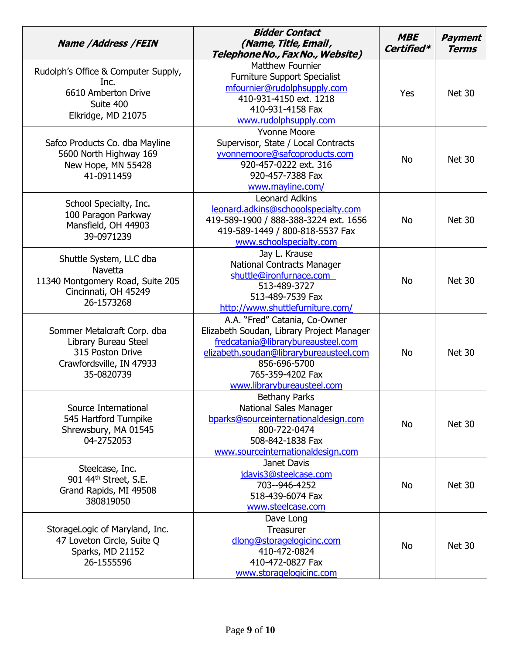| <b>Name /Address /FEIN</b>                                                                                          | <b>Bidder Contact</b><br>(Name, Title, Email,<br>Telephone No., Fax No., Website)                                                                                                                                             | <b>MBE</b><br>Certified* | <b>Payment</b><br><b>Terms</b> |
|---------------------------------------------------------------------------------------------------------------------|-------------------------------------------------------------------------------------------------------------------------------------------------------------------------------------------------------------------------------|--------------------------|--------------------------------|
| Rudolph's Office & Computer Supply,<br>Inc.<br>6610 Amberton Drive<br>Suite 400<br>Elkridge, MD 21075               | <b>Matthew Fournier</b><br><b>Furniture Support Specialist</b><br>mfournier@rudolphsupply.com<br>410-931-4150 ext. 1218<br>410-931-4158 Fax<br>www.rudolphsupply.com                                                          | Yes                      | <b>Net 30</b>                  |
| Safco Products Co. dba Mayline<br>5600 North Highway 169<br>New Hope, MN 55428<br>41-0911459                        | <b>Yvonne Moore</b><br>Supervisor, State / Local Contracts<br>yvonnemoore@safcoproducts.com<br>920-457-0222 ext. 316<br>920-457-7388 Fax<br>www.mayline.com/                                                                  | <b>No</b>                | <b>Net 30</b>                  |
| School Specialty, Inc.<br>100 Paragon Parkway<br>Mansfield, OH 44903<br>39-0971239                                  | <b>Leonard Adkins</b><br>leonard.adkins@schooolspecialty.com<br>419-589-1900 / 888-388-3224 ext. 1656<br>419-589-1449 / 800-818-5537 Fax<br>www.schoolspecialty.com                                                           | <b>No</b>                | <b>Net 30</b>                  |
| Shuttle System, LLC dba<br><b>Navetta</b><br>11340 Montgomery Road, Suite 205<br>Cincinnati, OH 45249<br>26-1573268 | Jay L. Krause<br><b>National Contracts Manager</b><br>shuttle@ironfurnace.com<br>513-489-3727<br>513-489-7539 Fax<br>http://www.shuttlefurniture.com/                                                                         | <b>No</b>                | Net 30                         |
| Sommer Metalcraft Corp. dba<br>Library Bureau Steel<br>315 Poston Drive<br>Crawfordsville, IN 47933<br>35-0820739   | A.A. "Fred" Catania, Co-Owner<br>Elizabeth Soudan, Library Project Manager<br>fredcatania@librarybureausteel.com<br>elizabeth.soudan@librarybureausteel.com<br>856-696-5700<br>765-359-4202 Fax<br>www.librarybureausteel.com | <b>No</b>                | Net 30                         |
| Source International<br>545 Hartford Turnpike<br>Shrewsbury, MA 01545<br>04-2752053                                 | <b>Bethany Parks</b><br><b>National Sales Manager</b><br>bparks@sourceinternationaldesign.com<br>800-722-0474<br>508-842-1838 Fax<br>www.sourceinternationaldesign.com                                                        | <b>No</b>                | <b>Net 30</b>                  |
| Steelcase, Inc.<br>901 44th Street, S.E.<br>Grand Rapids, MI 49508<br>380819050                                     | Janet Davis<br>jdavis3@steelcase.com<br>703--946-4252<br>518-439-6074 Fax<br>www.steelcase.com                                                                                                                                | No                       | <b>Net 30</b>                  |
| StorageLogic of Maryland, Inc.<br>47 Loveton Circle, Suite Q<br>Sparks, MD 21152<br>26-1555596                      | Dave Long<br>Treasurer<br>dlong@storagelogicinc.com<br>410-472-0824<br>410-472-0827 Fax<br>www.storagelogicinc.com                                                                                                            | <b>No</b>                | Net 30                         |